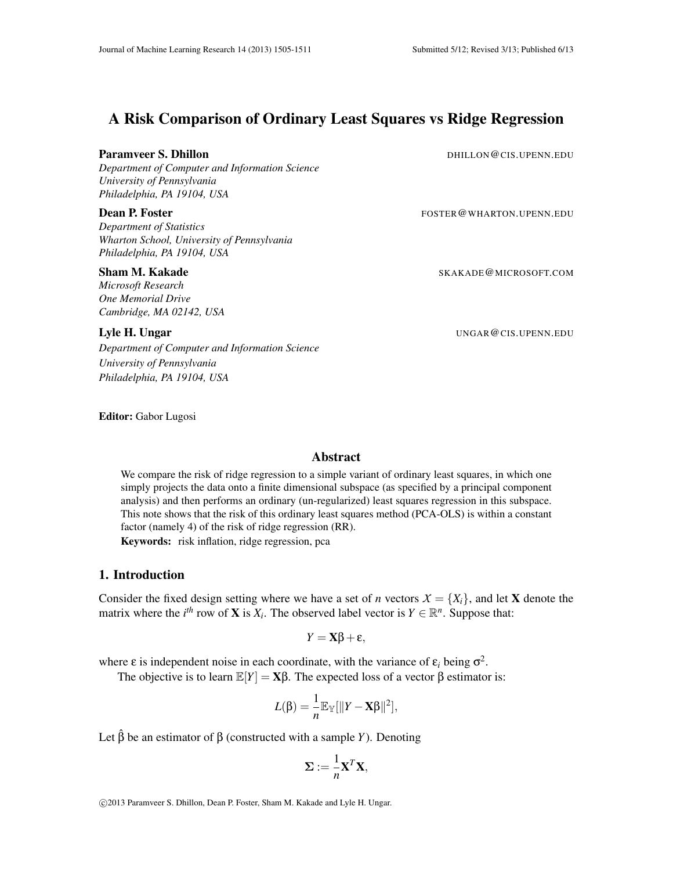# A Risk Comparison of Ordinary Least Squares vs Ridge Regression

#### Paramveer S. Dhillon DHILLON CIS.UPENN.EDU

*Department of Computer and Information Science University of Pennsylvania Philadelphia, PA 19104, USA*

### **Dean P. Foster Formulation** Formulation of the FOSTER @WHARTON.UPENN.EDU

*Department of Statistics Wharton School, University of Pennsylvania Philadelphia, PA 19104, USA*

#### Sham M. Kakade SKAKADE@MICROSOFT.COM

*Microsoft Research One Memorial Drive Cambridge, MA 02142, USA*

# Lyle H. Ungar UNGAR@CIS.UPENN.EDU

*Department of Computer and Information Science University of Pennsylvania Philadelphia, PA 19104, USA*

Editor: Gabor Lugosi

#### Abstract

We compare the risk of ridge regression to a simple variant of ordinary least squares, in which one simply projects the data onto a finite dimensional subspace (as specified by a principal component analysis) and then performs an ordinary (un-regularized) least squares regression in this subspace. This note shows that the risk of this ordinary least squares method (PCA-OLS) is within a constant factor (namely 4) of the risk of ridge regression (RR). Keywords: risk inflation, ridge regression, pca

### 1. Introduction

Consider the fixed design setting where we have a set of *n* vectors  $X = \{X_i\}$ , and let **X** denote the matrix where the *i<sup>th</sup>* row of **X** is  $X_i$ . The observed label vector is  $Y \in \mathbb{R}^n$ . Suppose that:

$$
Y = \mathbf{X}\boldsymbol{\beta} + \boldsymbol{\epsilon},
$$

where  $\varepsilon$  is independent noise in each coordinate, with the variance of  $\varepsilon_i$  being  $\sigma^2$ .

The objective is to learn  $\mathbb{E}[Y] = \mathbf{X}\boldsymbol{\beta}$ . The expected loss of a vector  $\boldsymbol{\beta}$  estimator is:

$$
L(\beta) = \frac{1}{n} \mathbb{E}_{\mathbb{Y}}[\|Y - \mathbf{X}\beta\|^2],
$$

Let  $\hat{\beta}$  be an estimator of  $\beta$  (constructed with a sample *Y*). Denoting

$$
\Sigma := \frac{1}{n} \mathbf{X}^T \mathbf{X},
$$

c 2013 Paramveer S. Dhillon, Dean P. Foster, Sham M. Kakade and Lyle H. Ungar.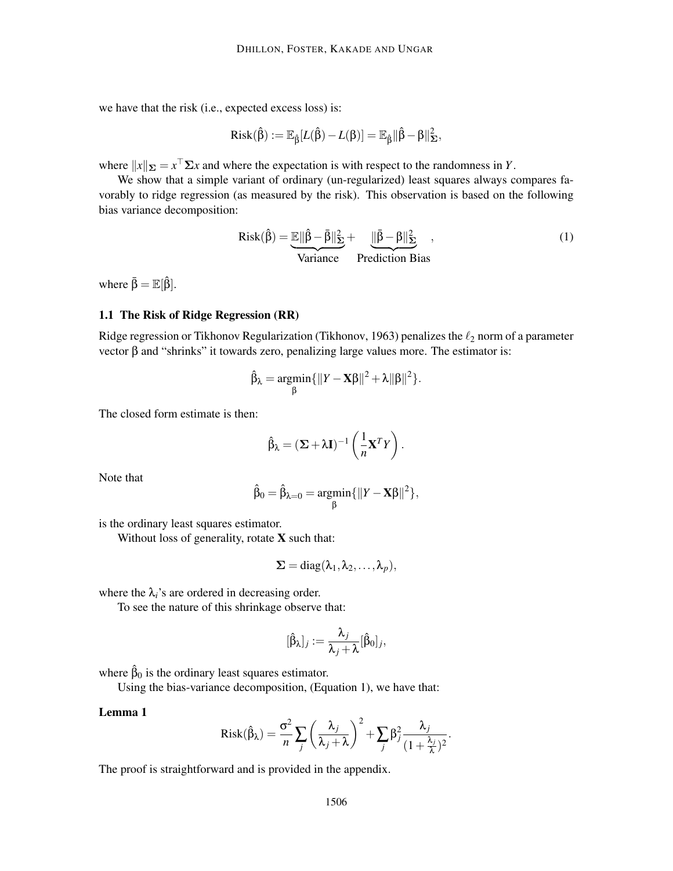we have that the risk (i.e., expected excess loss) is:

$$
Risk(\boldsymbol{\hat{\beta}}):=\mathbb{E}_{\boldsymbol{\hat{\beta}}}[L(\boldsymbol{\hat{\beta}})-L(\boldsymbol{\beta})]=\mathbb{E}_{\boldsymbol{\hat{\beta}}}\|\boldsymbol{\hat{\beta}}-\boldsymbol{\beta}\|_{\boldsymbol{\Sigma}}^2,
$$

where  $||x||_{\Sigma} = x^{\top} \Sigma x$  and where the expectation is with respect to the randomness in *Y*.

We show that a simple variant of ordinary (un-regularized) least squares always compares favorably to ridge regression (as measured by the risk). This observation is based on the following bias variance decomposition:

$$
Risk(\hat{\beta}) = \underbrace{\mathbb{E}||\hat{\beta} - \bar{\beta}||^2_{\Sigma}}_{\text{Variance}} + \underbrace{\|\bar{\beta} - \beta||^2_{\Sigma}}_{\text{Prediction Bias}},
$$
\n(1)

where  $\bar{\beta} = \mathbb{E}[\hat{\beta}].$ 

#### 1.1 The Risk of Ridge Regression (RR)

Ridge regression or Tikhonov Regularization (Tikhonov, 1963) penalizes the  $\ell_2$  norm of a parameter vector β and "shrinks" it towards zero, penalizing large values more. The estimator is:

$$
\hat{\beta}_{\lambda} = \underset{\beta}{\text{argmin}} \{ \|Y - \mathbf{X}\beta\|^2 + \lambda \|\beta\|^2 \}.
$$

The closed form estimate is then:

$$
\hat{\beta}_{\lambda} = (\Sigma + \lambda \mathbf{I})^{-1} \left( \frac{1}{n} \mathbf{X}^T Y \right).
$$

Note that

$$
\hat{\beta}_0 = \hat{\beta}_{\lambda=0} = \underset{\beta}{\text{argmin}} \{ \|Y - \mathbf{X}\beta\|^2 \},
$$

is the ordinary least squares estimator.

Without loss of generality, rotate **X** such that:

$$
\Sigma = diag(\lambda_1, \lambda_2, \ldots, \lambda_p),
$$

where the  $\lambda_i$ 's are ordered in decreasing order.

To see the nature of this shrinkage observe that:

$$
[\hat{\beta}_{\lambda}]_j := \frac{\lambda_j}{\lambda_j + \lambda} [\hat{\beta}_0]_j,
$$

where  $\hat{\beta}_0$  is the ordinary least squares estimator.

Using the bias-variance decomposition, (Equation 1), we have that:

### Lemma 1

$$
Risk(\hat{\beta}_{\lambda}) = \frac{\sigma^2}{n} \sum_{j} \left(\frac{\lambda_j}{\lambda_j + \lambda}\right)^2 + \sum_{j} \beta_j^2 \frac{\lambda_j}{(1 + \frac{\lambda_j}{\lambda})^2}.
$$

The proof is straightforward and is provided in the appendix.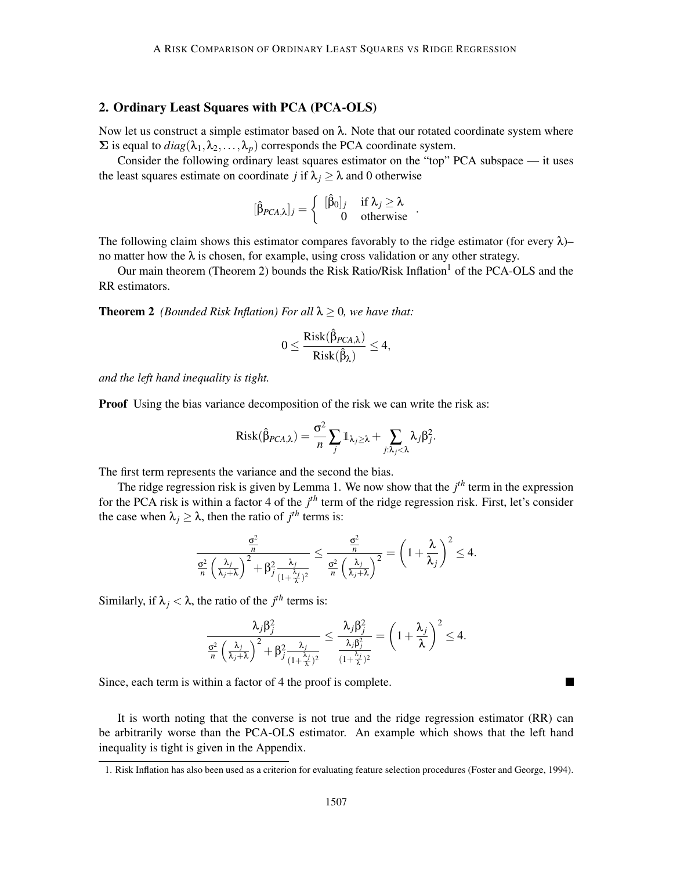# 2. Ordinary Least Squares with PCA (PCA-OLS)

Now let us construct a simple estimator based on  $\lambda$ . Note that our rotated coordinate system where  $\Sigma$  is equal to  $diag(\lambda_1, \lambda_2, ..., \lambda_p)$  corresponds the PCA coordinate system.

Consider the following ordinary least squares estimator on the "top" PCA subspace — it uses the least squares estimate on coordinate *j* if  $\lambda_i \geq \lambda$  and 0 otherwise

$$
[\hat{\beta}_{PCA,\lambda}]_j = \left\{ \begin{array}{cc} [\hat{\beta}_0]_j & \text{if } \lambda_j \geq \lambda \\ 0 & \text{otherwise} \end{array} \right..
$$

The following claim shows this estimator compares favorably to the ridge estimator (for every  $\lambda$ )– no matter how the  $\lambda$  is chosen, for example, using cross validation or any other strategy.

Our main theorem (Theorem 2) bounds the Risk Ratio/Risk Inflation<sup>1</sup> of the PCA-OLS and the RR estimators.

**Theorem 2** *(Bounded Risk Inflation) For all*  $\lambda \geq 0$ *, we have that:* 

$$
0 \leq \frac{\text{Risk}(\hat{\beta}_{PCA,\lambda})}{\text{Risk}(\hat{\beta}_{\lambda})} \leq 4,
$$

*and the left hand inequality is tight.*

**Proof** Using the bias variance decomposition of the risk we can write the risk as:

$$
Risk(\hat{\beta}_{PCA,\lambda}) = \frac{\sigma^2}{n} \sum_j \mathbb{1}_{\lambda_j \geq \lambda} + \sum_{j:\lambda_j < \lambda} \lambda_j \beta_j^2.
$$

The first term represents the variance and the second the bias.

The ridge regression risk is given by Lemma 1. We now show that the  $j<sup>th</sup>$  term in the expression for the PCA risk is within a factor 4 of the *j*<sup>th</sup> term of the ridge regression risk. First, let's consider the case when  $\lambda_j \geq \lambda$ , then the ratio of  $j^{th}$  terms is:

$$
\frac{\frac{\sigma^2}{n}}{\frac{\sigma^2}{n}\left(\frac{\lambda_j}{\lambda_j+\lambda}\right)^2+\beta_j^2\frac{\lambda_j}{(1+\frac{\lambda_j}{\lambda})^2}}\leq \frac{\frac{\sigma^2}{n}}{\frac{\sigma^2}{n}\left(\frac{\lambda_j}{\lambda_j+\lambda}\right)^2}=\left(1+\frac{\lambda}{\lambda_j}\right)^2\leq 4.
$$

Similarly, if  $\lambda_j < \lambda$ , the ratio of the *j*<sup>th</sup> terms is:

$$
\frac{\lambda_j\beta_j^2}{\frac{\sigma^2}{n}\left(\frac{\lambda_j}{\lambda_j+\lambda}\right)^2+\beta_j^2\frac{\lambda_j}{(1+\frac{\lambda_j}{\lambda})^2}}\leq \frac{\lambda_j\beta_j^2}{\frac{\lambda_j\beta_j^2}{(1+\frac{\lambda_j}{\lambda})^2}}=\left(1+\frac{\lambda_j}{\lambda}\right)^2\leq 4.
$$

Since, each term is within a factor of 4 the proof is complete.

It is worth noting that the converse is not true and the ridge regression estimator (RR) can be arbitrarily worse than the PCA-OLS estimator. An example which shows that the left hand inequality is tight is given in the Appendix.

<sup>1.</sup> Risk Inflation has also been used as a criterion for evaluating feature selection procedures (Foster and George, 1994).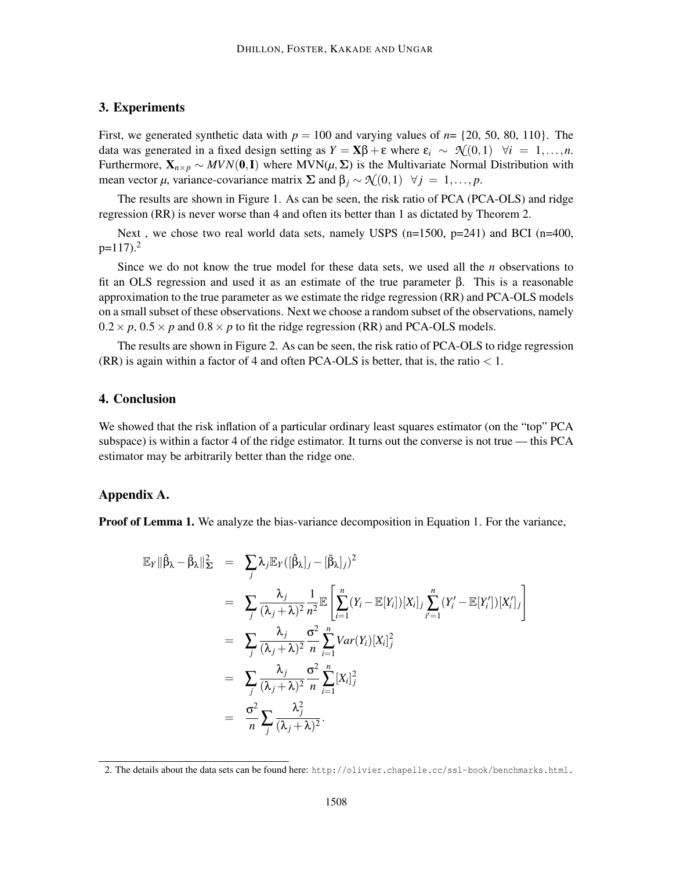# 3. Experiments

First, we generated synthetic data with  $p = 100$  and varying values of  $n = \{20, 50, 80, 110\}$ . The data was generated in a fixed design setting as  $Y = \mathbf{X}\beta + \varepsilon$  where  $\varepsilon_i \sim \mathcal{N}(0,1)$   $\forall i = 1,...,n$ . Furthermore,  $X_{n\times p} \sim MVN(0, I)$  where MVN( $\mu, \Sigma$ ) is the Multivariate Normal Distribution with mean vector  $\mu$ , variance-covariance matrix  $\Sigma$  and  $\beta_j \sim \mathcal{N}(0,1) \quad \forall j = 1,\ldots,p$ .

The results are shown in Figure 1. As can be seen, the risk ratio of PCA (PCA-OLS) and ridge regression (RR) is never worse than 4 and often its better than 1 as dictated by Theorem 2.

Next, we chose two real world data sets, namely USPS  $(n=1500, p=241)$  and BCI  $(n=400,$  $p=117$ ).<sup>2</sup>

Since we do not know the true model for these data sets, we used all the *n* observations to fit an OLS regression and used it as an estimate of the true parameter β. This is a reasonable approximation to the true parameter as we estimate the ridge regression (RR) and PCA-OLS models on a small subset of these observations. Next we choose a random subset of the observations, namely  $0.2 \times p$ ,  $0.5 \times p$  and  $0.8 \times p$  to fit the ridge regression (RR) and PCA-OLS models.

The results are shown in Figure 2. As can be seen, the risk ratio of PCA-OLS to ridge regression  $(RR)$  is again within a factor of 4 and often PCA-OLS is better, that is, the ratio  $\lt 1$ .

# 4. Conclusion

We showed that the risk inflation of a particular ordinary least squares estimator (on the "top" PCA subspace) is within a factor 4 of the ridge estimator. It turns out the converse is not true — this PCA estimator may be arbitrarily better than the ridge one.

### Appendix A.

**Proof of Lemma 1.** We analyze the bias-variance decomposition in Equation 1. For the variance,

$$
\mathbb{E}_{Y} \|\hat{\beta}_{\lambda} - \bar{\beta}_{\lambda}\|_{\Sigma}^{2} = \sum_{j} \lambda_{j} \mathbb{E}_{Y} ([\hat{\beta}_{\lambda}]_{j} - [\bar{\beta}_{\lambda}]_{j})^{2}
$$
\n
$$
= \sum_{j} \frac{\lambda_{j}}{(\lambda_{j} + \lambda)^{2}} \frac{1}{n^{2}} \mathbb{E} \left[ \sum_{i=1}^{n} (Y_{i} - \mathbb{E}[Y_{i}])[X_{i}]_{j} \sum_{i'=1}^{n} (Y_{i}' - \mathbb{E}[Y_{i}'])[X_{i}']_{j} \right]
$$
\n
$$
= \sum_{j} \frac{\lambda_{j}}{(\lambda_{j} + \lambda)^{2}} \frac{\sigma^{2}}{n} \sum_{i=1}^{n} Var(Y_{i})[X_{i}]_{j}^{2}
$$
\n
$$
= \sum_{j} \frac{\lambda_{j}}{(\lambda_{j} + \lambda)^{2}} \frac{\sigma^{2}}{n} \sum_{i=1}^{n} [X_{i}]_{j}^{2}
$$
\n
$$
= \frac{\sigma^{2}}{n} \sum_{j} \frac{\lambda_{j}^{2}}{(\lambda_{j} + \lambda)^{2}}.
$$

<sup>2.</sup> The details about the data sets can be found here: http://olivier.chapelle.cc/ssl-book/benchmarks.html.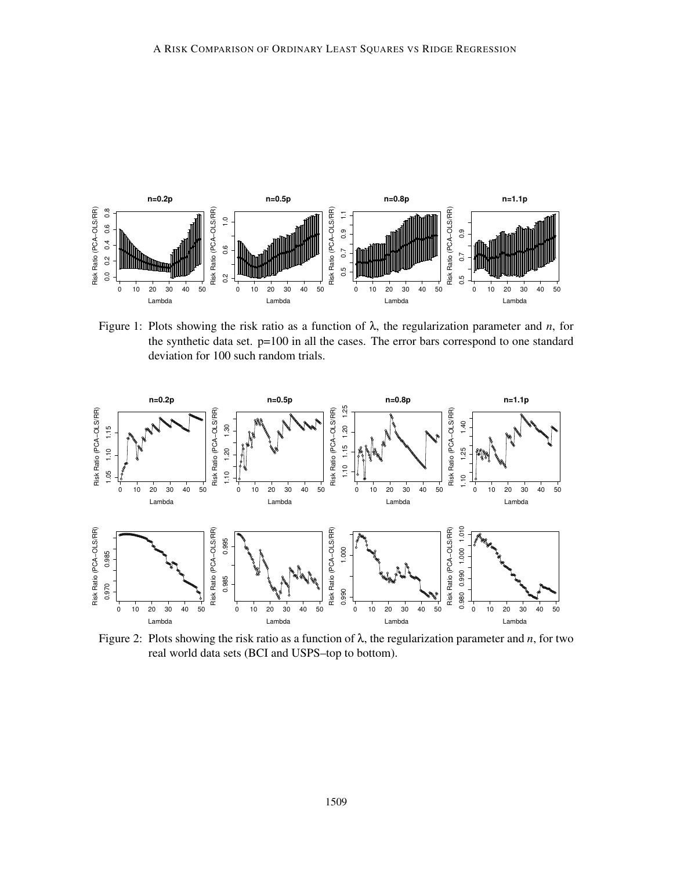

Figure 1: Plots showing the risk ratio as a function of λ, the regularization parameter and *n*, for the synthetic data set.  $p=100$  in all the cases. The error bars correspond to one standard deviation for 100 such random trials.



Figure 2: Plots showing the risk ratio as a function of λ, the regularization parameter and *n*, for two real world data sets (BCI and USPS–top to bottom).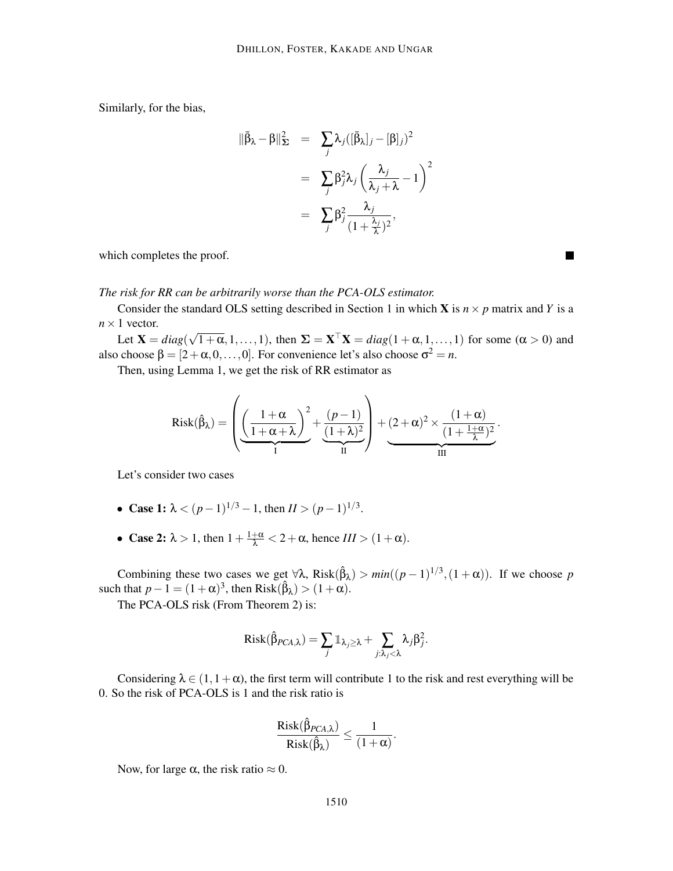Similarly, for the bias,

$$
\|\bar{\beta}_{\lambda} - \beta\|_{\Sigma}^{2} = \sum_{j} \lambda_{j} (\bar{\beta}_{\lambda} |_{j} - [\beta]_{j})^{2}
$$

$$
= \sum_{j} \beta_{j}^{2} \lambda_{j} \left( \frac{\lambda_{j}}{\lambda_{j} + \lambda} - 1 \right)^{2}
$$

$$
= \sum_{j} \beta_{j}^{2} \frac{\lambda_{j}}{(1 + \frac{\lambda_{j}}{\lambda})^{2}},
$$

٠

which completes the proof.

#### *The risk for RR can be arbitrarily worse than the PCA-OLS estimator.*

Consider the standard OLS setting described in Section 1 in which **X** is  $n \times p$  matrix and *Y* is a  $n \times 1$  vector.

Let  $X = diag(\sqrt{1+\alpha}, 1, ..., 1)$ , then  $\Sigma = X^{\top}X = diag(1+\alpha, 1, ..., 1)$  for some  $(\alpha > 0)$  and also choose  $\beta = [2 + \alpha, 0, \dots, 0]$ . For convenience let's also choose  $\sigma^2 = n$ .

Then, using Lemma 1, we get the risk of RR estimator as

$$
\textup{Risk}(\hat{\beta}_{\lambda}) = \left(\underbrace{\left(\frac{1+\alpha}{1+\alpha+\lambda}\right)^2}_{I} + \underbrace{\frac{(p-1)}{(1+\lambda)^2}}_{II}\right) + (2+\alpha)^2 \times \underbrace{\frac{(1+\alpha)}{(1+\frac{1+\alpha}{\lambda})^2}}_{III}.
$$

Let's consider two cases

- Case 1:  $\lambda < (p-1)^{1/3} 1$ , then  $II > (p-1)^{1/3}$ .
- Case 2:  $\lambda > 1$ , then  $1 + \frac{1+\alpha}{\lambda} < 2 + \alpha$ , hence  $III > (1+\alpha)$ .

Combining these two cases we get  $\forall \lambda$ , Risk( $\hat{\beta}_{\lambda}$ ) >  $min((p-1)^{1/3}, (1+\alpha))$ . If we choose *p* such that  $p-1 = (1+\alpha)^3$ , then Risk( $\hat{\beta}_\lambda$ ) >  $(1+\alpha)$ .

The PCA-OLS risk (From Theorem 2) is:

$$
Risk(\hat{\beta}_{PCA,\lambda}) = \sum_j \mathbb{1}_{\lambda_j \geq \lambda} + \sum_{j:\lambda_j < \lambda} \lambda_j \beta_j^2.
$$

Considering  $\lambda \in (1, 1 + \alpha)$ , the first term will contribute 1 to the risk and rest everything will be 0. So the risk of PCA-OLS is 1 and the risk ratio is

$$
\frac{\textup{Risk}(\hat{\beta}_{PCA,\lambda})}{\textup{Risk}(\hat{\beta}_{\lambda})} \leq \frac{1}{(1+\alpha)}.
$$

Now, for large  $\alpha$ , the risk ratio  $\approx 0$ .